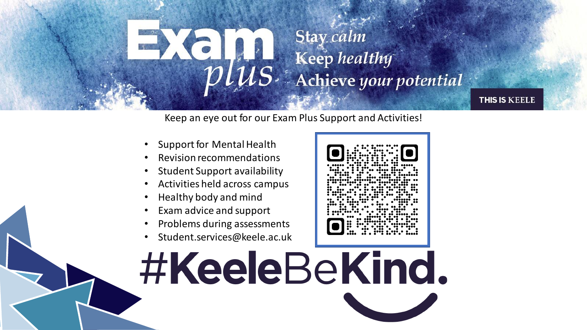

Keep an eye out for our Exam Plus Support and Activities!

- Support for Mental Health
- Revision recommendations
- Student Support availability
- Activities held across campus
- Healthy body and mind
- Exam advice and support
- Problems during assessments
- Student.services@keele.ac.uk

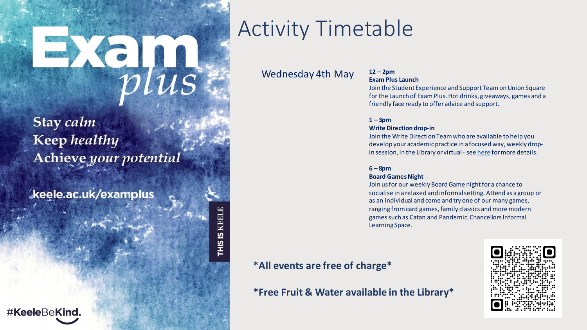Stay calm **Keep** healthy Achieve your potential

keele.ac.uk/examplus

# Activity Timetable

### Wednesday 4th May **<sup>12</sup>– 2pm**

## **Exam Plus Launch**

Join the Student Experience and Support Team on Union Square for the Launch of Exam Plus. Hot drinks, giveaways, games and a friendly face ready to offer advice and support.

#### $1 - 3pm$

#### **Write Direction drop-in**

Join the Write Direction Team who are available to help you develop your academic practice in a focused way, weekly dropin session, in the Library or virtual - see [here](https://www.keele.ac.uk/kiite/workingwithstudents/academicskills/writedirection/writedirectiondrop-in/​) for more details.

#### **6 – 8pm**

#### **Board Games Night**

Join us for our weekly Board Game night for a chance to socialise in a relaxed and informal setting. Attend as a group or as an individual and come and try one of our many games, ranging from card games, family classics and more modern games such as Catan and Pandemic.Chancellors Informal Learning Space.

### **\*All events are free of charge\***

THIS IS KEELE

**\*Free Fruit & Water available in the Library\***

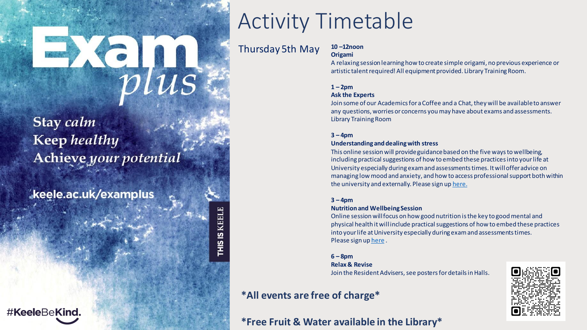Stay calm **Keep** healthy Achieve your potential

keele.ac.uk/examplus

## #KeeleBeKind.

# Activity Timetable

Thursday 5th May **<sup>10</sup>–12noon**

THIS IS KEELE

## **Origami**

A relaxing session learning how to create simple origami, no previous experience or artistic talent required! All equipment provided. Library Training Room.

#### $1 - 2pm$

#### **Ask the Experts**

Join some of our Academics for a Coffee and a Chat, they will be available to answer any questions, worries or concerns you may have about exams and assessments. Library Training Room

#### **3 – 4pm**

#### **Understanding and dealing with stress**

This online session will provide guidance based on the five ways to wellbeing, including practical suggestions of how to embed these practices into your life at University especially during exam and assessments times. It will offer advice on managing low mood and anxiety, and how to access professional support both within the university and externally. Please sign up [here.](https://forms.office.com/Pages/DesignPage.aspx)

#### **3 – 4pm**

#### **Nutrition and Wellbeing Session**

Online session will focus on how good nutrition is the key to good mental and physical health it will include practical suggestions of how to embed these practices into your life at University especially during exam and assessments times. Please sign up [here](https://forms.office.com/Pages/DesignPage.aspx) .

#### **6 – 8pm**

#### **Relax & Revise**

Join the Resident Advisers, see posters for details in Halls.

## **\*All events are free of charge\***

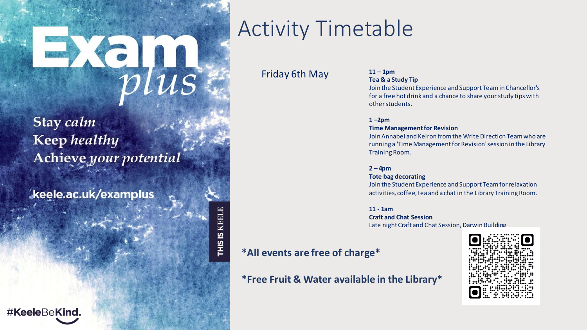Stay calm **Keep** healthy Achieve your potential

keele.ac.uk/examplus

# #KeeleBeKind.

# Activity Timetable

### Friday 6th May **<sup>11</sup>– 1pm**

# **Tea & a Study Tip**

Join the Student Experience and Support Team in Chancellor's for a free hot drink and a chance to share your study tips with other students.

#### **1 –2pm**

#### **Time Management for Revision**

Join Annabel and Keiron from the Write Direction Team who are running a 'Time Management for Revision' session in the Library Training Room.

#### **2 – 4pm**

#### **Tote bag decorating**

Join the Student Experience and Support Team for relaxation activities, coffee, tea and a chat in the Library Training Room.

**11 - 1am Craft and Chat Session** Late nightCraft and Chat Session, Darwin Building

### **\*All events are free of charge\***

THIS IS KEELE

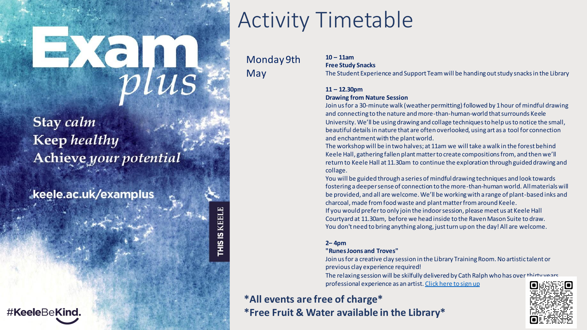Stay calm **Keep** healthy Achieve your potential

keele.ac.uk/examplus

#KeeleBeKind.

THIS IS KEELE

# Activity Timetable

Monday 9th May

**10 – 11am Free Study Snacks**

The Student Experience and Support Team will be handing out study snacks in the Library

#### **11 – 12.30pm**

#### **Drawing from Nature Session**

Join us for a 30-minute walk (weather permitting) followed by 1 hour of mindful drawing and connecting to the nature and more-than-human-world that surrounds Keele University. We'll be using drawing and collage techniques to help us to notice the small, beautiful details in nature that are often overlooked, using art as a tool for connection and enchantment with the plant world.

The workshop will be in two halves; at 11am we will take a walk in the forest behind Keele Hall, gathering fallen plant matter to create compositions from, and then we'll return to Keele Hall at 11.30am to continue the exploration through guided drawing and collage.

You will be guided through a series of mindful drawing techniques and look towards fostering a deeper sense of connection to the more-than-human world. All materials will be provided, and all are welcome. We'll be working with a range of plant-based inks and charcoal, made from food waste and plant matter from around Keele. If you would prefer to only join the indoor session, please meet us at Keele Hall Courtyard at 11.30am, before we head inside to the Raven Mason Suite to draw.

#### You don't need to bring anything along, just turn up on the day! All are welcome.

#### **2– 4pm**

#### **"Runes Joons and Troves"**

Join us for a creative clay session in the Library Training Room. No artistic talent or previous clay experience required!

The relaxing session will be skilfully delivered by Cath Ralph who has over thirty years professional experience as an artist. [Click here to sign up](https://forms.office.com/r/g72ftpUxDs)

## **\*All events are free of charge\* \*Free Fruit & Water available in the Library\***

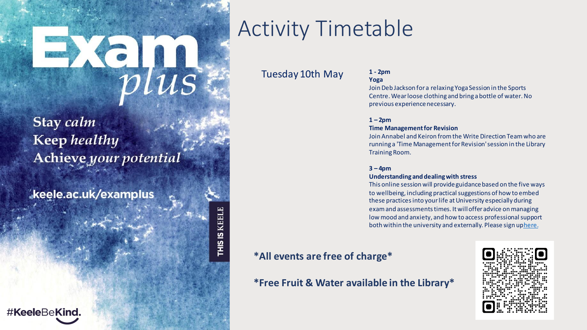Stay calm **Keep** healthy Achieve your potential

keele.ac.uk/examplus

## #KeeleBeKind.

# Activity Timetable

### Tuesday 10th May **1 - 2pm**

## **Yoga**

Join Deb Jackson for a relaxing Yoga Session in the Sports Centre. Wear loose clothing and bring a bottle of water. No previous experience necessary.

#### $1 - 2pm$

#### **Time Management for Revision**

Join Annabel and Keiron from the Write Direction Team who are running a 'Time Management for Revision' session in the Library Training Room.

#### **3 – 4pm**

#### **Understanding and dealing with stress**

This online session will provide guidance based on the five ways to wellbeing, including practical suggestions of how to embed these practices into your life at University especially during exam and assessments times. It will offer advice on managing low mood and anxiety, and how to access professional support both within the university and externally. Please sign uphere.

### **\*All events are free of charge\***

THIS IS KEELE

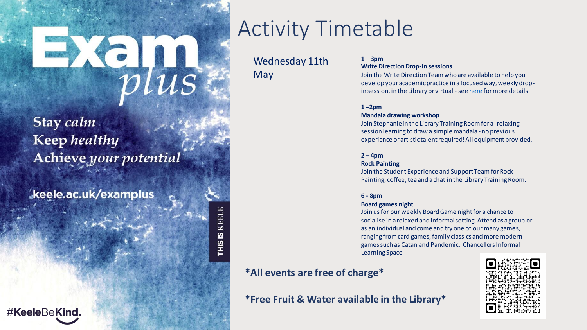# $Xe_{\mu}$

Stay calm **Keep** healthy Achieve your potential

keele.ac.uk/examplus

#KeeleBeKind.

# Activity Timetable

Wednesday 11th May

#### $1 - 3$ pm **Write Direction Drop-in sessions**

Join the Write Direction Team who are available to help you develop your academic practice in a focused way, weekly dropin session, in the Library or virtual - see [here](https://www.keele.ac.uk/kiite/workingwithstudents/academicskills/writedirection/writedirectiondrop-in/​) for more details

#### **1 –2pm**

#### **Mandala drawing workshop**

Join Stephanie in the Library Training Room for a relaxing session learning to draw a simple mandala - no previous experience or artistic talent required! All equipment provided.

#### $2 - 4pm$

#### **Rock Painting**

Join the Student Experience and Support Team for Rock Painting, coffee, tea and a chat in the Library Training Room.

#### **6 - 8pm**

#### **Board games night**

Join us for our weekly Board Game night for a chance to socialise in a relaxed and informal setting. Attend as a group or as an individual and come and try one of our many games, ranging from card games, family classics and more modern games such as Catan and Pandemic. Chancellors Informal Learning Space

### **\*All events are free of charge\***

THIS IS KEELE

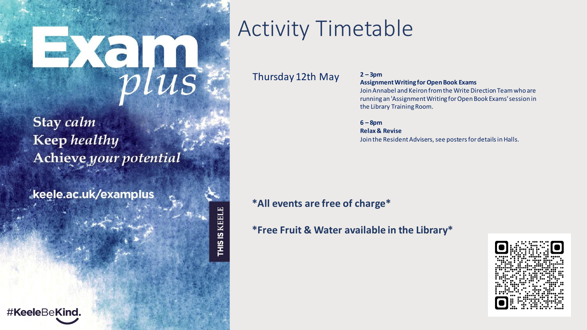# News

Stay calm **Keep** healthy Achieve your potential

keele.ac.uk/examplus

#KeeleBeKind.

# Activity Timetable

Thursday 12th May **<sup>2</sup>– 3pm**

**Assignment Writing for Open Book Exams**

Join Annabel and Keiron from the Write Direction Team who are running an 'Assignment Writing for Open Book Exams' session in the Library Training Room.

**6 – 8pm Relax & Revise** Join the Resident Advisers, see posters for details in Halls.

### **\*All events are free of charge\***

THIS IS KEELI

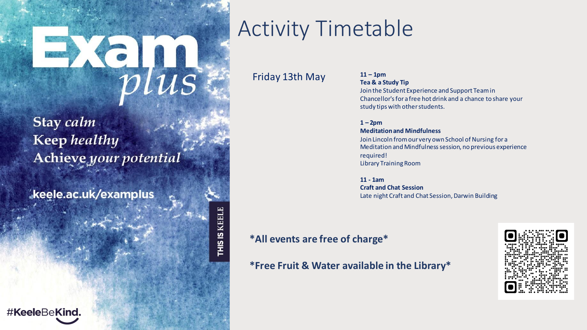# Ke<sub>plus</sub>

Stay calm **Keep** healthy Achieve your potential

keele.ac.uk/examplus

## #KeeleBeKind.

# Activity Timetable

Friday 13th May **<sup>11</sup>– 1pm**

**Tea & a Study Tip** Join the Student Experience and Support Team in Chancellor'sfor a free hot drink and a chance to share your study tips with other students.

 $1 - 2pm$ **Meditation and Mindfulness** Join Lincoln from our very own School of Nursing for a Meditation and Mindfulness session, no previous experience required! Library Training Room

**11 - 1am Craft and Chat Session** Late night Craft and Chat Session, Darwin Building

## **\*All events are free of charge\***

THIS IS KEELE

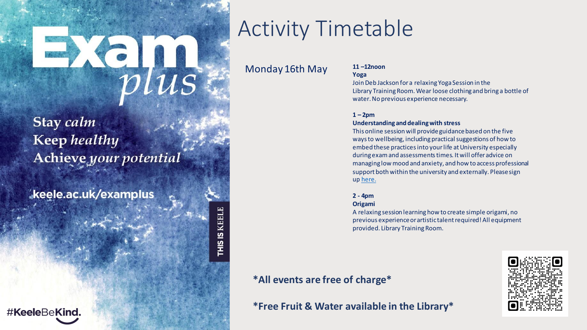# News

Stay calm **Keep** healthy Achieve your potential

keele.ac.uk/examplus

# Activity Timetable

### Monday 16th May **<sup>11</sup>–12noon**

THIS IS KEELE

**Yoga** Join Deb Jackson for a relaxing Yoga Session in the Library Training Room. Wear loose clothing and bring a bottle of water.No previous experience necessary.

#### $1 - 2pm$

#### **Understanding and dealing with stress**

This online session will provide guidance based on the five waysto wellbeing, including practical suggestions of how to embed these practices into your life at University especially duringexam and assessments times. It will offer advice on managing low mood and anxiety, and how to access professional support both within the university and externally. Please sign up [here.](https://forms.office.com/Pages/DesignPage.aspx)

#### **2 - 4pm**

#### **Origami**

A relaxing session learning how to create simple origami, no previous experience orartistic talent required! All equipment provided. Library Training Room.

### **\*All events are free of charge\***

**\*Free Fruit & Water available in the Library\***

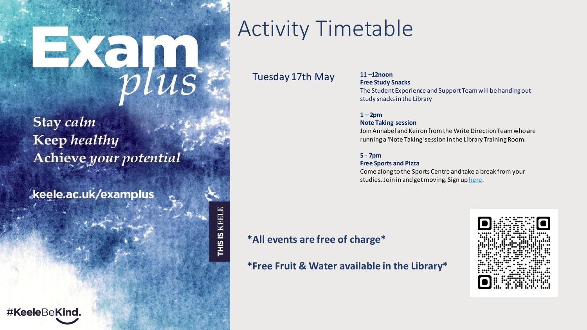# Ke<sub>plus</sub>

Stay calm **Keep** healthy Achieve your potential

keele.ac.uk/examplus

# Activity Timetable

THIS IS KEELE

Tuesday 17th May **<sup>11</sup>–12noon**

### **Free Study Snacks** The Student Experience and Support Team will be handing out study snacks in the Library

#### $1 - 2pm$ **Note Taking session**

Join Annabel and Keiron from the Write Direction Team who are running a 'Note Taking' session in the Library Training Room.

#### **5 - 7pm**

#### **Free Sports and Pizza**

Come along to the Sports Centre and take a break from your studies. Join in and get moving. Sign up [here.](https://forms.office.com/Pages/DesignPage.aspx?fragment=FormId%3D7vO7K2i2-U2wY1mJRcPUZnzR_cn1q71Gjw7_BYXFlbVUNUNMUUQwOEFaRlUxWlNOUDVTU1BWNVVQTC4u)

## **\*All events are free of charge\***

**\*Free Fruit & Water available in the Library\***

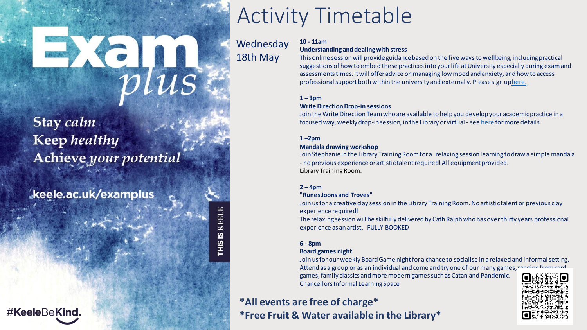# $Xe_{\text{rls}}$

## Stay calm **Keep** healthy Achieve your potential

keele.ac.uk/examplus

## #KeeleBeKind.

# Activity Timetable

**Wednesday** 18th May

THIS IS KEELE

#### **10 - 11am**

#### **Understanding and dealing with stress**

This online session will provide guidance based on the five ways to wellbeing, including practical suggestions of how to embed these practices into your life at University especially during exam and assessments times. It will offer advice on managing low mood and anxiety, and how to access professional support both within the university and externally. Please sign u[phere.](https://forms.office.com/Pages/DesignPage.aspx)

#### $1 - 3pm$

#### **Write Direction Drop-in sessions**

Join the Write Direction Team who are available to help you develop your academic practice in a focused way, weekly drop-in session, in the Library or virtual - see [here](https://www.keele.ac.uk/kiite/workingwithstudents/academicskills/writedirection/writedirectiondrop-in/%E2%80%8B) for more details

#### **1 –2pm**

#### **Mandala drawing workshop**

Join Stephanie in the Library Training Room for a relaxing session learning to draw a simple mandala - no previous experience or artistic talent required! All equipment provided. Library Training Room.

#### **2 – 4pm**

#### **"RunesJoons and Troves"**

Join us for a creative clay session in the Library Training Room. No artistic talent or previous clay experience required!

The relaxing session will be skilfully delivered by Cath Ralph who has over thirty years professional experience as an artist. FULLY BOOKED

#### **6 - 8pm**

#### **Board games night**

Join us for our weekly Board Game night for a chance to socialise in a relaxed and informal setting. Attend as a group or as an individual and come and try one of our many games,  $r_1$ games, family classics and more modern games such as Catan and Pandemic. Chancellors Informal Learning Space

## **\*All events are free of charge\* \*Free Fruit & Water available in the Library\***

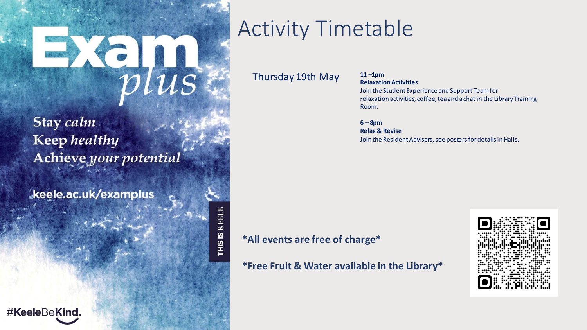# News

Stay calm **Keep** healthy Achieve your potential

keele.ac.uk/examplus

# Activity Timetable

Thursday 19th May **<sup>11</sup>–1pm**

## **Relaxation Activities** Join the Student Experience and Support Team for

relaxation activities, coffee, tea and a chat in the Library Training Room.

**6 – 8pm Relax & Revise**

Join the Resident Advisers, see posters for details in Halls.

**\*All events are free of charge\***

THIS IS KEELE

**\*Free Fruit & Water available in the Library\***

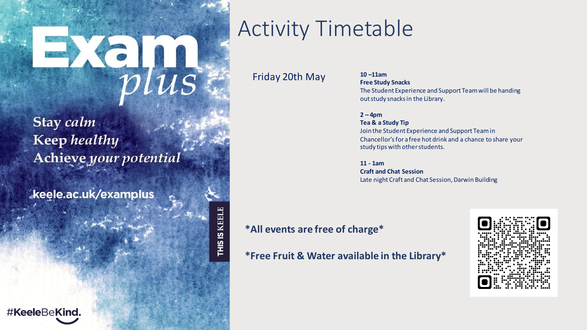# Ke<sub>plus</sub>

Stay calm **Keep** healthy Achieve your potential

keele.ac.uk/examplus

## #KeeleBeKind.

# Activity Timetable

Friday 20th May **<sup>10</sup>–11am**

**Free Study Snacks** The Student Experience and Support Team will be handing outstudy snacks in the Library.

**2 – 4pm Tea & a Study Tip**

Join the Student Experience and Support Team in Chancellor'sfor a free hot drink and a chance to share your study tips with other students.

**11 - 1am**

**Craft and Chat Session** Late night Craft and Chat Session, Darwin Building

## **\*All events are free of charge\***

THIS IS KEELI

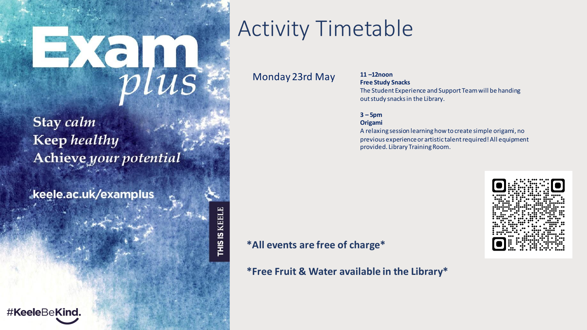# $\frac{1}{2}$

Stay calm **Keep** healthy Achieve your potential

keele.ac.uk/examplus

## #KeeleBeKind.

# Activity Timetable

Monday 23rd May **<sup>11</sup>–12noon**

# **Free Study Snacks**

The Student Experience and Support Team will be handing outstudy snacks in the Library.

#### **3 – 5pm**

#### **Origami**

A relaxing session learning how to create simple origami, no previous experience or artistic talent required! All equipment provided. Library Training Room.

**\*All events are free of charge\***

THIS IS KEELE

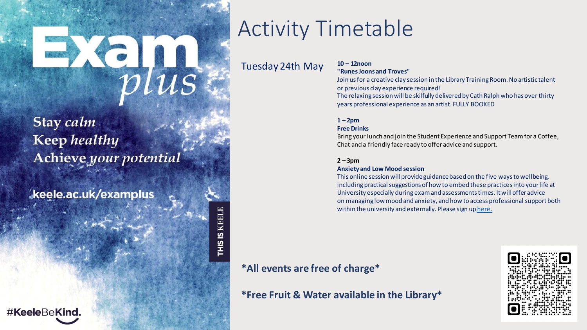# Wells

Stay calm **Keep** healthy Achieve your potential

keele.ac.uk/examplus

## #KeeleBeKind.

# Activity Timetable

### Tuesday 24th May **<sup>10</sup>– 12noon**

THIS IS KEELE

## **"RunesJoons and Troves"**

Join us for a creative clay session in the Library Training Room. No artistic talent or previous clay experience required!

The relaxing session will be skilfully delivered by Cath Ralph who has over thirty years professional experience as an artist. FULLY BOOKED

#### $1 - 2pm$

#### **Free Drinks**

Bring your lunch and join the Student Experience and Support Team for a Coffee, Chat and a friendly face ready to offer advice and support.

#### $2 - 3pm$

#### **Anxiety and Low Mood session**

This online session will provide guidance based on the five waysto wellbeing, including practical suggestions of how to embed these practices into your life at University especially during exam and assessments times. It will offer advice on managing low mood and anxiety, and how to access professional supportboth within the university and externally. Please sign up [here.](https://forms.office.com/Pages/DesignPage.aspx)

### **\*All events are free of charge\***

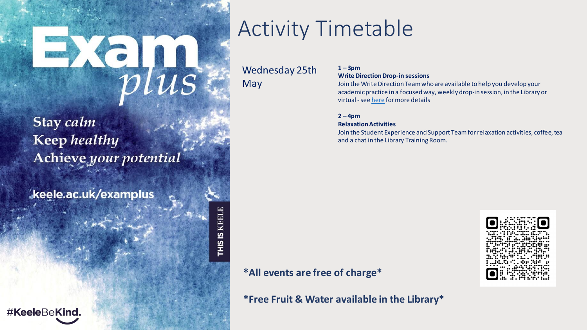# $\frac{1}{2}$

Stay calm **Keep** healthy Achieve your potential

keele.ac.uk/examplus

# Activity Timetable

Wednesday 25th

May

THIS IS KEELE

#### **1 – 3pm Write Direction Drop-in sessions**

Join the Write Direction Team who are available to help you develop your academic practice in a focused way, weekly drop-in session, in the Library or virtual -see [here](https://www.keele.ac.uk/kiite/workingwithstudents/academicskills/writedirection/writedirectiondrop-in/%E2%80%8B) for more details

#### $2 - 4pm$

#### **Relaxation Activities**

Join the Student Experience and Support Team forrelaxation activities, coffee, tea and a chat in the Library Training Room.

## **\*All events are free of charge\***



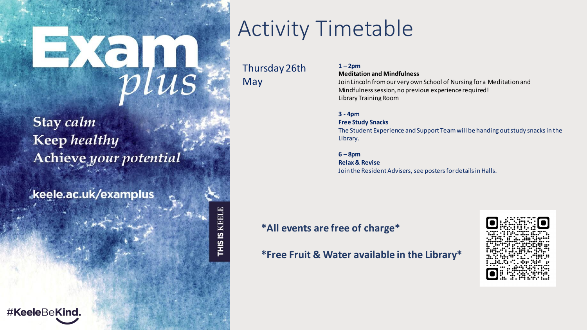# $Xe\overline{u}$

Stay calm **Keep** healthy Achieve your potential

keele.ac.uk/examplus

# Activity Timetable

Thursday 26th May

THIS IS KEELE

 $1 - 2pm$ 

**Meditation and Mindfulness** Join Lincoln from our very own School of Nursing for a Meditation and

Mindfulness session, no previous experience required! Library Training Room

**3 - 4pm**

**Free Study Snacks**

The Student Experience and Support Team will be handing outstudy snacks in the Library.

**6 – 8pm**

**Relax & Revise** Join the Resident Advisers, see posters for details in Halls.

### **\*All events are free of charge\***

**\*Free Fruit & Water available in the Library\***